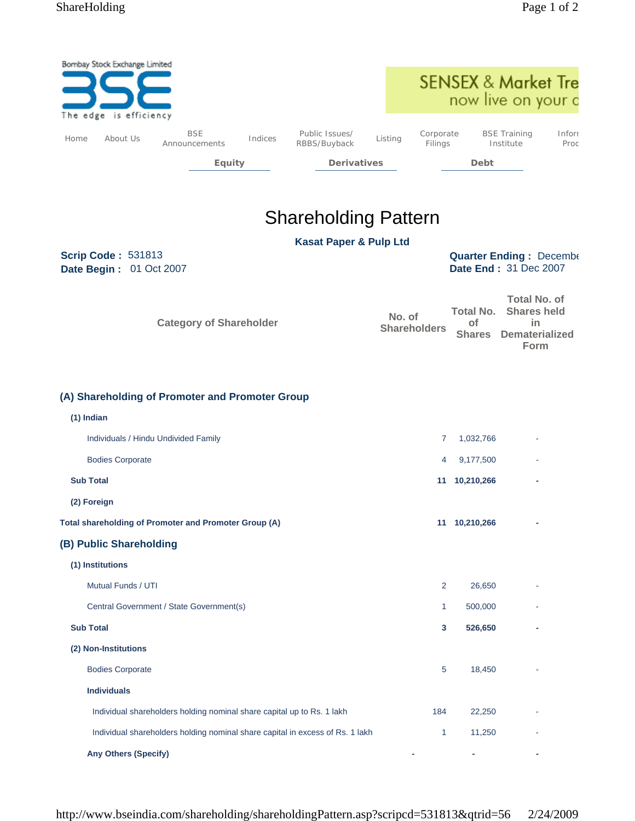|      | Bombay Stock Exchange Limited<br>The edge is efficiency |                                                                               |         |                                   |                               |                      | <b>SENSEX &amp; Market Tre</b><br>now live on your c     |                                                                                  |                |
|------|---------------------------------------------------------|-------------------------------------------------------------------------------|---------|-----------------------------------|-------------------------------|----------------------|----------------------------------------------------------|----------------------------------------------------------------------------------|----------------|
| Home | About Us                                                | <b>BSE</b><br>Announcements                                                   | Indices | Public Issues/<br>RBBS/Buyback    | Listing                       | Corporate<br>Filings |                                                          | <b>BSE Training</b><br>Institute                                                 | Inforr<br>Proc |
|      |                                                         | <b>Equity</b>                                                                 |         | <b>Derivatives</b>                |                               |                      | Debt                                                     |                                                                                  |                |
|      |                                                         |                                                                               |         |                                   |                               |                      |                                                          |                                                                                  |                |
|      |                                                         |                                                                               |         | <b>Shareholding Pattern</b>       |                               |                      |                                                          |                                                                                  |                |
|      |                                                         |                                                                               |         | <b>Kasat Paper &amp; Pulp Ltd</b> |                               |                      |                                                          |                                                                                  |                |
|      | <b>Scrip Code: 531813</b><br>Date Begin: 01 Oct 2007    |                                                                               |         |                                   |                               |                      | <b>Quarter Ending: December</b><br>Date End: 31 Dec 2007 |                                                                                  |                |
|      |                                                         | <b>Category of Shareholder</b>                                                |         |                                   | No. of<br><b>Shareholders</b> |                      | <b>Total No.</b><br>of<br><b>Shares</b>                  | <b>Total No. of</b><br><b>Shares held</b><br>in<br><b>Dematerialized</b><br>Form |                |
|      | (1) Indian                                              | (A) Shareholding of Promoter and Promoter Group                               |         |                                   |                               |                      |                                                          |                                                                                  |                |
|      |                                                         | Individuals / Hindu Undivided Family                                          |         |                                   |                               | $\overline{7}$       | 1,032,766                                                |                                                                                  |                |
|      | <b>Bodies Corporate</b><br><b>Sub Total</b>             |                                                                               |         |                                   |                               | 4                    | 9,177,500<br>11 10,210,266                               |                                                                                  |                |
|      | (2) Foreign                                             |                                                                               |         |                                   |                               |                      |                                                          |                                                                                  |                |
|      |                                                         | Total shareholding of Promoter and Promoter Group (A)                         |         |                                   |                               |                      | 11 10,210,266                                            |                                                                                  |                |
|      | (B) Public Shareholding                                 |                                                                               |         |                                   |                               |                      |                                                          |                                                                                  |                |
|      | (1) Institutions                                        |                                                                               |         |                                   |                               |                      |                                                          |                                                                                  |                |
|      | Mutual Funds / UTI                                      |                                                                               |         |                                   |                               | 2                    | 26,650                                                   |                                                                                  |                |
|      |                                                         | Central Government / State Government(s)                                      |         |                                   |                               | $\mathbf{1}$         | 500,000                                                  |                                                                                  |                |
|      | <b>Sub Total</b>                                        |                                                                               |         |                                   |                               | 3                    | 526,650                                                  |                                                                                  |                |
|      | (2) Non-Institutions                                    |                                                                               |         |                                   |                               |                      |                                                          |                                                                                  |                |
|      | <b>Bodies Corporate</b>                                 |                                                                               |         |                                   |                               | 5                    | 18,450                                                   |                                                                                  |                |
|      | <b>Individuals</b>                                      |                                                                               |         |                                   |                               |                      |                                                          |                                                                                  |                |
|      |                                                         | Individual shareholders holding nominal share capital up to Rs. 1 lakh        |         |                                   |                               | 184                  | 22,250                                                   |                                                                                  |                |
|      |                                                         | Individual shareholders holding nominal share capital in excess of Rs. 1 lakh |         |                                   |                               | 1                    | 11,250                                                   |                                                                                  |                |
|      | <b>Any Others (Specify)</b>                             |                                                                               |         |                                   |                               |                      |                                                          |                                                                                  |                |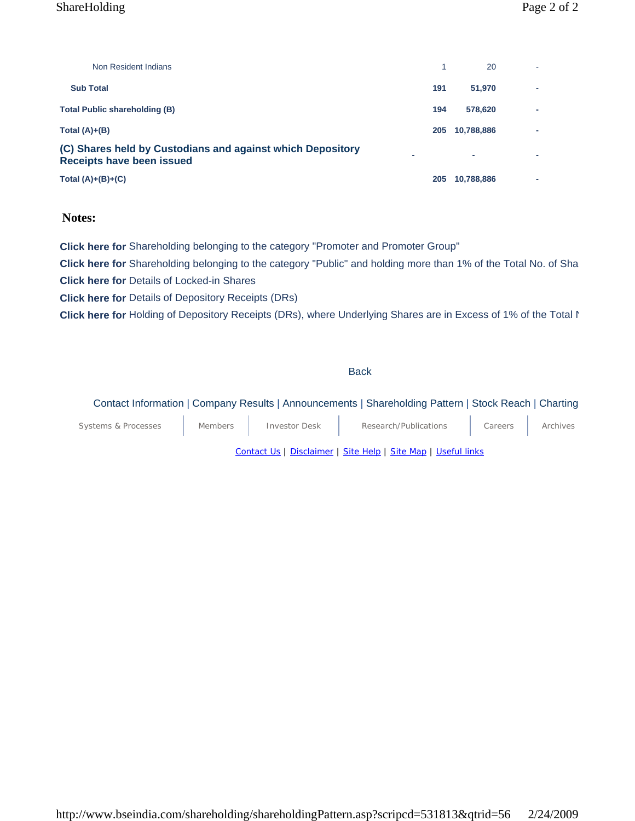### ShareHolding Page 2 of 2

| Non Resident Indians                                                                           |     | 20         |                          |
|------------------------------------------------------------------------------------------------|-----|------------|--------------------------|
| <b>Sub Total</b>                                                                               | 191 | 51,970     | $\overline{\phantom{a}}$ |
| <b>Total Public shareholding (B)</b>                                                           | 194 | 578,620    | $\overline{\phantom{a}}$ |
| Total $(A)+(B)$                                                                                | 205 | 10,788,886 | $\overline{\phantom{a}}$ |
| (C) Shares held by Custodians and against which Depository<br><b>Receipts have been issued</b> |     | ٠          |                          |
| Total $(A)+(B)+(C)$                                                                            | 205 | 10,788,886 |                          |

### **Notes:**

**Click here for** Shareholding belonging to the category "Promoter and Promoter Group"

**Click here for** Shareholding belonging to the category "Public" and holding more than 1% of the Total No. of Sha **Click here for** Details of Locked-in Shares

**Click here for** Details of Depository Receipts (DRs)

**Click here for** Holding of Depository Receipts (DRs), where Underlying Shares are in Excess of 1% of the Total N

Back

#### Contact Information | Company Results | Announcements | Shareholding Pattern | Stock Reach | Charting

| Systems & Processes | <b>Members</b> | <b>Investor Desk</b> | Research/Publications | Careers | Archives |
|---------------------|----------------|----------------------|-----------------------|---------|----------|
|                     |                |                      | .                     |         |          |

Contact Us | Disclaimer | Site Help | Site Map | Useful links